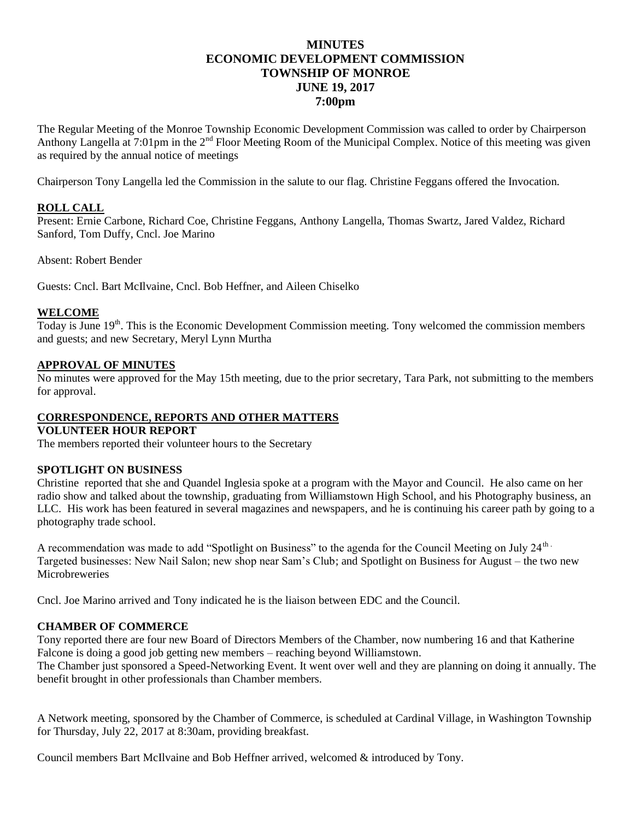## **MINUTES ECONOMIC DEVELOPMENT COMMISSION TOWNSHIP OF MONROE JUNE 19, 2017 7:00pm**

The Regular Meeting of the Monroe Township Economic Development Commission was called to order by Chairperson Anthony Langella at  $7:01$ pm in the  $2<sup>nd</sup>$  Floor Meeting Room of the Municipal Complex. Notice of this meeting was given as required by the annual notice of meetings

Chairperson Tony Langella led the Commission in the salute to our flag. Christine Feggans offered the Invocation.

### **ROLL CALL**

Present: Ernie Carbone, Richard Coe, Christine Feggans, Anthony Langella, Thomas Swartz, Jared Valdez, Richard Sanford, Tom Duffy, Cncl. Joe Marino

Absent: Robert Bender

Guests: Cncl. Bart McIlvaine, Cncl. Bob Heffner, and Aileen Chiselko

#### **WELCOME**

Today is June 19<sup>th</sup>. This is the Economic Development Commission meeting. Tony welcomed the commission members and guests; and new Secretary, Meryl Lynn Murtha

#### **APPROVAL OF MINUTES**

No minutes were approved for the May 15th meeting, due to the prior secretary, Tara Park, not submitting to the members for approval.

# **CORRESPONDENCE, REPORTS AND OTHER MATTERS**

## **VOLUNTEER HOUR REPORT**

The members reported their volunteer hours to the Secretary

#### **SPOTLIGHT ON BUSINESS**

Christine reported that she and Quandel Inglesia spoke at a program with the Mayor and Council. He also came on her radio show and talked about the township, graduating from Williamstown High School, and his Photography business, an LLC. His work has been featured in several magazines and newspapers, and he is continuing his career path by going to a photography trade school.

A recommendation was made to add "Spotlight on Business" to the agenda for the Council Meeting on July 24<sup>th</sup> Targeted businesses: New Nail Salon; new shop near Sam's Club; and Spotlight on Business for August – the two new **Microbreweries** 

Cncl. Joe Marino arrived and Tony indicated he is the liaison between EDC and the Council.

#### **CHAMBER OF COMMERCE**

Tony reported there are four new Board of Directors Members of the Chamber, now numbering 16 and that Katherine Falcone is doing a good job getting new members – reaching beyond Williamstown.

The Chamber just sponsored a Speed-Networking Event. It went over well and they are planning on doing it annually. The benefit brought in other professionals than Chamber members.

A Network meeting, sponsored by the Chamber of Commerce, is scheduled at Cardinal Village, in Washington Township for Thursday, July 22, 2017 at 8:30am, providing breakfast.

Council members Bart McIlvaine and Bob Heffner arrived, welcomed & introduced by Tony.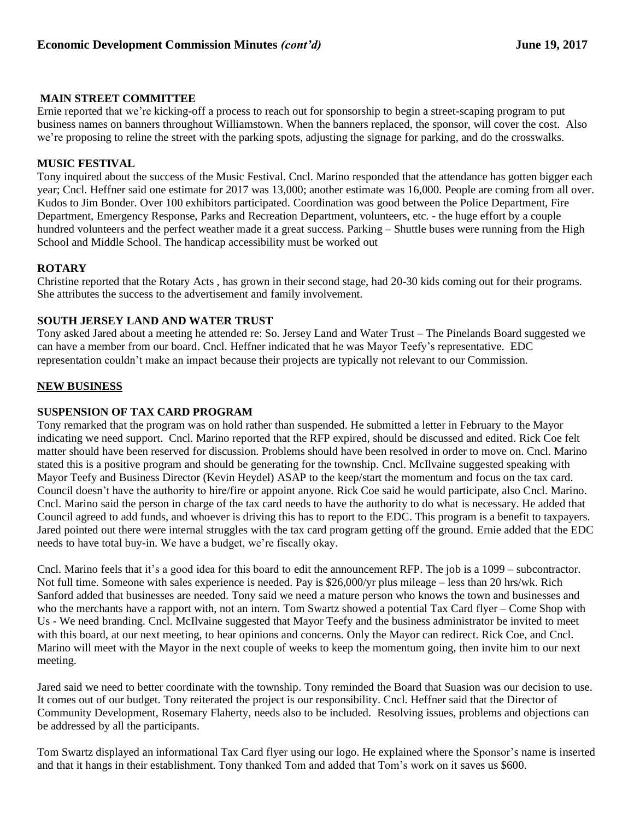## **MAIN STREET COMMITTEE**

Ernie reported that we're kicking-off a process to reach out for sponsorship to begin a street-scaping program to put business names on banners throughout Williamstown. When the banners replaced, the sponsor, will cover the cost. Also we're proposing to reline the street with the parking spots, adjusting the signage for parking, and do the crosswalks.

## **MUSIC FESTIVAL**

Tony inquired about the success of the Music Festival. Cncl. Marino responded that the attendance has gotten bigger each year; Cncl. Heffner said one estimate for 2017 was 13,000; another estimate was 16,000. People are coming from all over. Kudos to Jim Bonder. Over 100 exhibitors participated. Coordination was good between the Police Department, Fire Department, Emergency Response, Parks and Recreation Department, volunteers, etc. - the huge effort by a couple hundred volunteers and the perfect weather made it a great success. Parking – Shuttle buses were running from the High School and Middle School. The handicap accessibility must be worked out

## **ROTARY**

Christine reported that the Rotary Acts , has grown in their second stage, had 20-30 kids coming out for their programs. She attributes the success to the advertisement and family involvement.

## **SOUTH JERSEY LAND AND WATER TRUST**

Tony asked Jared about a meeting he attended re: So. Jersey Land and Water Trust – The Pinelands Board suggested we can have a member from our board. Cncl. Heffner indicated that he was Mayor Teefy's representative. EDC representation couldn't make an impact because their projects are typically not relevant to our Commission.

## **NEW BUSINESS**

## **SUSPENSION OF TAX CARD PROGRAM**

Tony remarked that the program was on hold rather than suspended. He submitted a letter in February to the Mayor indicating we need support. Cncl. Marino reported that the RFP expired, should be discussed and edited. Rick Coe felt matter should have been reserved for discussion. Problems should have been resolved in order to move on. Cncl. Marino stated this is a positive program and should be generating for the township. Cncl. McIlvaine suggested speaking with Mayor Teefy and Business Director (Kevin Heydel) ASAP to the keep/start the momentum and focus on the tax card. Council doesn't have the authority to hire/fire or appoint anyone. Rick Coe said he would participate, also Cncl. Marino. Cncl. Marino said the person in charge of the tax card needs to have the authority to do what is necessary. He added that Council agreed to add funds, and whoever is driving this has to report to the EDC. This program is a benefit to taxpayers. Jared pointed out there were internal struggles with the tax card program getting off the ground. Ernie added that the EDC needs to have total buy-in. We have a budget, we're fiscally okay.

Cncl. Marino feels that it's a good idea for this board to edit the announcement RFP. The job is a 1099 – subcontractor. Not full time. Someone with sales experience is needed. Pay is \$26,000/yr plus mileage – less than 20 hrs/wk. Rich Sanford added that businesses are needed. Tony said we need a mature person who knows the town and businesses and who the merchants have a rapport with, not an intern. Tom Swartz showed a potential Tax Card flyer – Come Shop with Us - We need branding. Cncl. McIlvaine suggested that Mayor Teefy and the business administrator be invited to meet with this board, at our next meeting, to hear opinions and concerns. Only the Mayor can redirect. Rick Coe, and Cncl. Marino will meet with the Mayor in the next couple of weeks to keep the momentum going, then invite him to our next meeting.

Jared said we need to better coordinate with the township. Tony reminded the Board that Suasion was our decision to use. It comes out of our budget. Tony reiterated the project is our responsibility. Cncl. Heffner said that the Director of Community Development, Rosemary Flaherty, needs also to be included. Resolving issues, problems and objections can be addressed by all the participants.

Tom Swartz displayed an informational Tax Card flyer using our logo. He explained where the Sponsor's name is inserted and that it hangs in their establishment. Tony thanked Tom and added that Tom's work on it saves us \$600.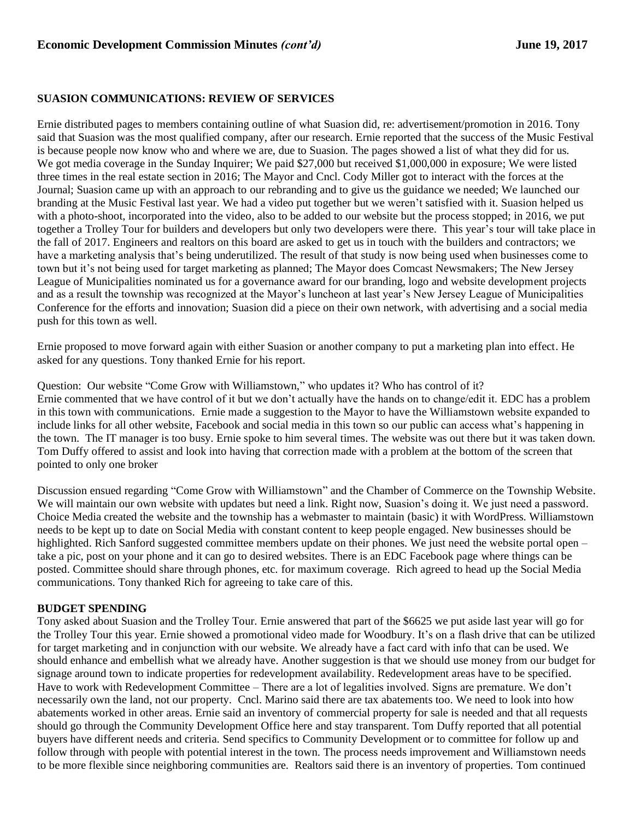#### **SUASION COMMUNICATIONS: REVIEW OF SERVICES**

Ernie distributed pages to members containing outline of what Suasion did, re: advertisement/promotion in 2016. Tony said that Suasion was the most qualified company, after our research. Ernie reported that the success of the Music Festival is because people now know who and where we are, due to Suasion. The pages showed a list of what they did for us. We got media coverage in the Sunday Inquirer; We paid \$27,000 but received \$1,000,000 in exposure; We were listed three times in the real estate section in 2016; The Mayor and Cncl. Cody Miller got to interact with the forces at the Journal; Suasion came up with an approach to our rebranding and to give us the guidance we needed; We launched our branding at the Music Festival last year. We had a video put together but we weren't satisfied with it. Suasion helped us with a photo-shoot, incorporated into the video, also to be added to our website but the process stopped; in 2016, we put together a Trolley Tour for builders and developers but only two developers were there. This year's tour will take place in the fall of 2017. Engineers and realtors on this board are asked to get us in touch with the builders and contractors; we have a marketing analysis that's being underutilized. The result of that study is now being used when businesses come to town but it's not being used for target marketing as planned; The Mayor does Comcast Newsmakers; The New Jersey League of Municipalities nominated us for a governance award for our branding, logo and website development projects and as a result the township was recognized at the Mayor's luncheon at last year's New Jersey League of Municipalities Conference for the efforts and innovation; Suasion did a piece on their own network, with advertising and a social media push for this town as well.

Ernie proposed to move forward again with either Suasion or another company to put a marketing plan into effect. He asked for any questions. Tony thanked Ernie for his report.

Question: Our website "Come Grow with Williamstown," who updates it? Who has control of it? Ernie commented that we have control of it but we don't actually have the hands on to change/edit it. EDC has a problem in this town with communications. Ernie made a suggestion to the Mayor to have the Williamstown website expanded to include links for all other website, Facebook and social media in this town so our public can access what's happening in the town. The IT manager is too busy. Ernie spoke to him several times. The website was out there but it was taken down. Tom Duffy offered to assist and look into having that correction made with a problem at the bottom of the screen that pointed to only one broker

Discussion ensued regarding "Come Grow with Williamstown" and the Chamber of Commerce on the Township Website. We will maintain our own website with updates but need a link. Right now, Suasion's doing it. We just need a password. Choice Media created the website and the township has a webmaster to maintain (basic) it with WordPress. Williamstown needs to be kept up to date on Social Media with constant content to keep people engaged. New businesses should be highlighted. Rich Sanford suggested committee members update on their phones. We just need the website portal open – take a pic, post on your phone and it can go to desired websites. There is an EDC Facebook page where things can be posted. Committee should share through phones, etc. for maximum coverage. Rich agreed to head up the Social Media communications. Tony thanked Rich for agreeing to take care of this.

### **BUDGET SPENDING**

Tony asked about Suasion and the Trolley Tour. Ernie answered that part of the \$6625 we put aside last year will go for the Trolley Tour this year. Ernie showed a promotional video made for Woodbury. It's on a flash drive that can be utilized for target marketing and in conjunction with our website. We already have a fact card with info that can be used. We should enhance and embellish what we already have. Another suggestion is that we should use money from our budget for signage around town to indicate properties for redevelopment availability. Redevelopment areas have to be specified. Have to work with Redevelopment Committee – There are a lot of legalities involved. Signs are premature. We don't necessarily own the land, not our property. Cncl. Marino said there are tax abatements too. We need to look into how abatements worked in other areas. Ernie said an inventory of commercial property for sale is needed and that all requests should go through the Community Development Office here and stay transparent. Tom Duffy reported that all potential buyers have different needs and criteria. Send specifics to Community Development or to committee for follow up and follow through with people with potential interest in the town. The process needs improvement and Williamstown needs to be more flexible since neighboring communities are. Realtors said there is an inventory of properties. Tom continued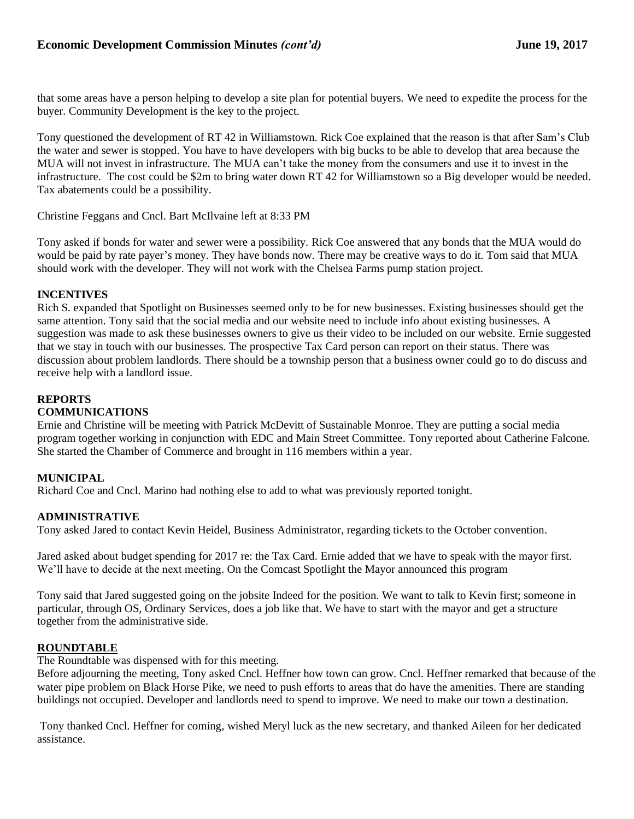that some areas have a person helping to develop a site plan for potential buyers. We need to expedite the process for the buyer. Community Development is the key to the project.

Tony questioned the development of RT 42 in Williamstown. Rick Coe explained that the reason is that after Sam's Club the water and sewer is stopped. You have to have developers with big bucks to be able to develop that area because the MUA will not invest in infrastructure. The MUA can't take the money from the consumers and use it to invest in the infrastructure. The cost could be \$2m to bring water down RT 42 for Williamstown so a Big developer would be needed. Tax abatements could be a possibility.

Christine Feggans and Cncl. Bart McIlvaine left at 8:33 PM

Tony asked if bonds for water and sewer were a possibility. Rick Coe answered that any bonds that the MUA would do would be paid by rate payer's money. They have bonds now. There may be creative ways to do it. Tom said that MUA should work with the developer. They will not work with the Chelsea Farms pump station project.

#### **INCENTIVES**

Rich S. expanded that Spotlight on Businesses seemed only to be for new businesses. Existing businesses should get the same attention. Tony said that the social media and our website need to include info about existing businesses. A suggestion was made to ask these businesses owners to give us their video to be included on our website. Ernie suggested that we stay in touch with our businesses. The prospective Tax Card person can report on their status. There was discussion about problem landlords. There should be a township person that a business owner could go to do discuss and receive help with a landlord issue.

### **REPORTS**

### **COMMUNICATIONS**

Ernie and Christine will be meeting with Patrick McDevitt of Sustainable Monroe. They are putting a social media program together working in conjunction with EDC and Main Street Committee. Tony reported about Catherine Falcone. She started the Chamber of Commerce and brought in 116 members within a year.

### **MUNICIPAL**

Richard Coe and Cncl. Marino had nothing else to add to what was previously reported tonight.

### **ADMINISTRATIVE**

Tony asked Jared to contact Kevin Heidel, Business Administrator, regarding tickets to the October convention.

Jared asked about budget spending for 2017 re: the Tax Card. Ernie added that we have to speak with the mayor first. We'll have to decide at the next meeting. On the Comcast Spotlight the Mayor announced this program

Tony said that Jared suggested going on the jobsite Indeed for the position. We want to talk to Kevin first; someone in particular, through OS, Ordinary Services, does a job like that. We have to start with the mayor and get a structure together from the administrative side.

## **ROUNDTABLE**

The Roundtable was dispensed with for this meeting.

Before adjourning the meeting, Tony asked Cncl. Heffner how town can grow. Cncl. Heffner remarked that because of the water pipe problem on Black Horse Pike, we need to push efforts to areas that do have the amenities. There are standing buildings not occupied. Developer and landlords need to spend to improve. We need to make our town a destination.

Tony thanked Cncl. Heffner for coming, wished Meryl luck as the new secretary, and thanked Aileen for her dedicated assistance.